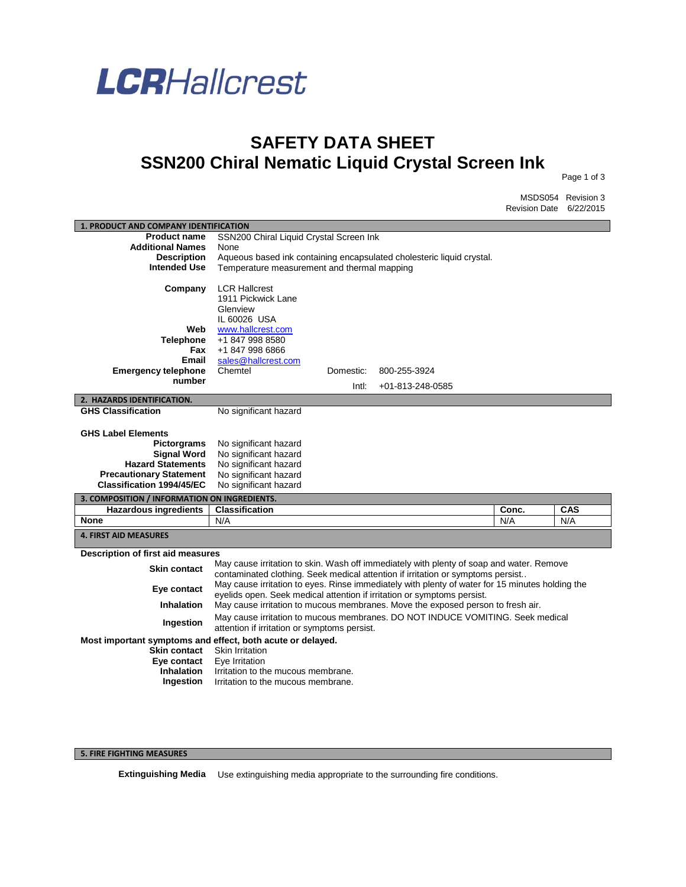

## **SAFETY DATA SHEET SSN200 Chiral Nematic Liquid Crystal Screen Ink**

Page 1 of 3

MSDS054 Revision 3 Revision Date 6/22/2015

| 1. PRODUCT AND COMPANY IDENTIFICATION                      |                                              |                                                                       |                                                                                                 |       |            |
|------------------------------------------------------------|----------------------------------------------|-----------------------------------------------------------------------|-------------------------------------------------------------------------------------------------|-------|------------|
| <b>Product name</b>                                        | SSN200 Chiral Liquid Crystal Screen Ink      |                                                                       |                                                                                                 |       |            |
| <b>Additional Names</b>                                    | None                                         |                                                                       |                                                                                                 |       |            |
| <b>Description</b>                                         |                                              | Aqueous based ink containing encapsulated cholesteric liquid crystal. |                                                                                                 |       |            |
| <b>Intended Use</b>                                        | Temperature measurement and thermal mapping  |                                                                       |                                                                                                 |       |            |
|                                                            |                                              |                                                                       |                                                                                                 |       |            |
| Company                                                    | <b>LCR Hallcrest</b>                         |                                                                       |                                                                                                 |       |            |
|                                                            | 1911 Pickwick Lane                           |                                                                       |                                                                                                 |       |            |
|                                                            | Glenview                                     |                                                                       |                                                                                                 |       |            |
|                                                            | IL 60026 USA                                 |                                                                       |                                                                                                 |       |            |
| Web                                                        | www.hallcrest.com                            |                                                                       |                                                                                                 |       |            |
| Telephone                                                  | +1 847 998 8580                              |                                                                       |                                                                                                 |       |            |
| Fax                                                        | +1 847 998 6866                              |                                                                       |                                                                                                 |       |            |
| Email                                                      | sales@hallcrest.com                          |                                                                       |                                                                                                 |       |            |
| <b>Emergency telephone</b>                                 | Chemtel                                      | Domestic:                                                             | 800-255-3924                                                                                    |       |            |
| number                                                     |                                              | Intl:                                                                 | +01-813-248-0585                                                                                |       |            |
| 2. HAZARDS IDENTIFICATION.                                 |                                              |                                                                       |                                                                                                 |       |            |
| <b>GHS Classification</b>                                  | No significant hazard                        |                                                                       |                                                                                                 |       |            |
|                                                            |                                              |                                                                       |                                                                                                 |       |            |
| <b>GHS Label Elements</b>                                  |                                              |                                                                       |                                                                                                 |       |            |
| Pictorgrams                                                | No significant hazard                        |                                                                       |                                                                                                 |       |            |
| <b>Signal Word</b>                                         | No significant hazard                        |                                                                       |                                                                                                 |       |            |
| <b>Hazard Statements</b>                                   | No significant hazard                        |                                                                       |                                                                                                 |       |            |
| <b>Precautionary Statement</b>                             | No significant hazard                        |                                                                       |                                                                                                 |       |            |
| <b>Classification 1994/45/EC</b>                           | No significant hazard                        |                                                                       |                                                                                                 |       |            |
| 3. COMPOSITION / INFORMATION ON INGREDIENTS.               |                                              |                                                                       |                                                                                                 |       |            |
| <b>Hazardous ingredients</b>                               | <b>Classification</b>                        |                                                                       |                                                                                                 | Conc. | <b>CAS</b> |
| <b>None</b>                                                | N/A                                          |                                                                       |                                                                                                 | N/A   | N/A        |
| <b>4. FIRST AID MEASURES</b>                               |                                              |                                                                       |                                                                                                 |       |            |
|                                                            |                                              |                                                                       |                                                                                                 |       |            |
| Description of first aid measures                          |                                              |                                                                       |                                                                                                 |       |            |
| <b>Skin contact</b>                                        |                                              |                                                                       | May cause irritation to skin. Wash off immediately with plenty of soap and water. Remove        |       |            |
|                                                            |                                              |                                                                       | contaminated clothing. Seek medical attention if irritation or symptoms persist                 |       |            |
| Eye contact                                                |                                              |                                                                       | May cause irritation to eyes. Rinse immediately with plenty of water for 15 minutes holding the |       |            |
|                                                            |                                              |                                                                       | eyelids open. Seek medical attention if irritation or symptoms persist.                         |       |            |
| <b>Inhalation</b>                                          |                                              |                                                                       | May cause irritation to mucous membranes. Move the exposed person to fresh air.                 |       |            |
| Ingestion                                                  |                                              |                                                                       | May cause irritation to mucous membranes. DO NOT INDUCE VOMITING. Seek medical                  |       |            |
|                                                            | attention if irritation or symptoms persist. |                                                                       |                                                                                                 |       |            |
| Most important symptoms and effect, both acute or delayed. |                                              |                                                                       |                                                                                                 |       |            |
| <b>Skin contact</b>                                        | <b>Skin Irritation</b>                       |                                                                       |                                                                                                 |       |            |
| Eye contact                                                | Eye Irritation                               |                                                                       |                                                                                                 |       |            |
| <b>Inhalation</b>                                          | Irritation to the mucous membrane.           |                                                                       |                                                                                                 |       |            |
| Ingestion                                                  | Irritation to the mucous membrane.           |                                                                       |                                                                                                 |       |            |
|                                                            |                                              |                                                                       |                                                                                                 |       |            |

## **5. FIRE FIGHTING MEASURES**

**Extinguishing Media** Use extinguishing media appropriate to the surrounding fire conditions.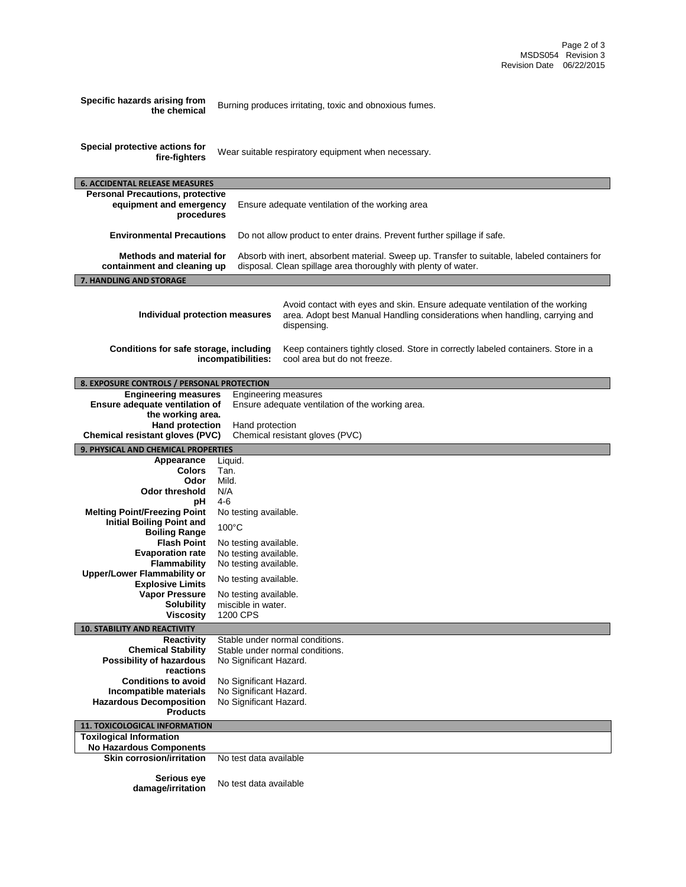| Specific hazards arising from<br>the chemical                      |                                                                                                                                                                                                                                   | Burning produces irritating, toxic and obnoxious fumes.                                                                                                                    |  |
|--------------------------------------------------------------------|-----------------------------------------------------------------------------------------------------------------------------------------------------------------------------------------------------------------------------------|----------------------------------------------------------------------------------------------------------------------------------------------------------------------------|--|
|                                                                    |                                                                                                                                                                                                                                   |                                                                                                                                                                            |  |
| Special protective actions for                                     |                                                                                                                                                                                                                                   | Wear suitable respiratory equipment when necessary.                                                                                                                        |  |
| fire-fighters                                                      |                                                                                                                                                                                                                                   |                                                                                                                                                                            |  |
| <b>6. ACCIDENTAL RELEASE MEASURES</b>                              |                                                                                                                                                                                                                                   |                                                                                                                                                                            |  |
| <b>Personal Precautions, protective</b><br>equipment and emergency |                                                                                                                                                                                                                                   | Ensure adequate ventilation of the working area                                                                                                                            |  |
| procedures                                                         |                                                                                                                                                                                                                                   |                                                                                                                                                                            |  |
|                                                                    | <b>Environmental Precautions</b><br>Do not allow product to enter drains. Prevent further spillage if safe.                                                                                                                       |                                                                                                                                                                            |  |
|                                                                    | <b>Methods and material for</b><br>Absorb with inert, absorbent material. Sweep up. Transfer to suitable, labeled containers for<br>disposal. Clean spillage area thoroughly with plenty of water.<br>containment and cleaning up |                                                                                                                                                                            |  |
| 7. HANDLING AND STORAGE                                            |                                                                                                                                                                                                                                   |                                                                                                                                                                            |  |
|                                                                    |                                                                                                                                                                                                                                   |                                                                                                                                                                            |  |
| Individual protection measures                                     |                                                                                                                                                                                                                                   | Avoid contact with eyes and skin. Ensure adequate ventilation of the working<br>area. Adopt best Manual Handling considerations when handling, carrying and<br>dispensing. |  |
| Conditions for safe storage, including                             |                                                                                                                                                                                                                                   | Keep containers tightly closed. Store in correctly labeled containers. Store in a                                                                                          |  |
|                                                                    | incompatibilities:                                                                                                                                                                                                                | cool area but do not freeze.                                                                                                                                               |  |
| 8. EXPOSURE CONTROLS / PERSONAL PROTECTION                         |                                                                                                                                                                                                                                   |                                                                                                                                                                            |  |
| <b>Engineering measures</b>                                        | Engineering measures                                                                                                                                                                                                              |                                                                                                                                                                            |  |
| Ensure adequate ventilation of                                     |                                                                                                                                                                                                                                   | Ensure adequate ventilation of the working area.                                                                                                                           |  |
| the working area.<br><b>Hand protection</b>                        | Hand protection                                                                                                                                                                                                                   |                                                                                                                                                                            |  |
| Chemical resistant gloves (PVC)                                    |                                                                                                                                                                                                                                   | Chemical resistant gloves (PVC)                                                                                                                                            |  |
| 9. PHYSICAL AND CHEMICAL PROPERTIES                                |                                                                                                                                                                                                                                   |                                                                                                                                                                            |  |
| Appearance                                                         | Liquid.                                                                                                                                                                                                                           |                                                                                                                                                                            |  |
|                                                                    |                                                                                                                                                                                                                                   |                                                                                                                                                                            |  |
| <b>Colors</b>                                                      | Tan.                                                                                                                                                                                                                              |                                                                                                                                                                            |  |
| Odor<br>Odor threshold                                             | Mild.<br>N/A                                                                                                                                                                                                                      |                                                                                                                                                                            |  |
| рH                                                                 | 4-6                                                                                                                                                                                                                               |                                                                                                                                                                            |  |
| <b>Melting Point/Freezing Point</b>                                | No testing available.                                                                                                                                                                                                             |                                                                                                                                                                            |  |
| <b>Initial Boiling Point and</b><br><b>Boiling Range</b>           | 100°C                                                                                                                                                                                                                             |                                                                                                                                                                            |  |
| <b>Flash Point</b>                                                 | No testing available.                                                                                                                                                                                                             |                                                                                                                                                                            |  |
| <b>Evaporation rate</b>                                            | No testing available.                                                                                                                                                                                                             |                                                                                                                                                                            |  |
| <b>Flammability</b>                                                | No testing available.                                                                                                                                                                                                             |                                                                                                                                                                            |  |
| <b>Upper/Lower Flammability or</b><br><b>Explosive Limits</b>      | No testing available.                                                                                                                                                                                                             |                                                                                                                                                                            |  |
| <b>Vapor Pressure</b>                                              | No testing available.                                                                                                                                                                                                             |                                                                                                                                                                            |  |
| <b>Solubility</b><br><b>Viscosity</b>                              | miscible in water.<br>1200 CPS                                                                                                                                                                                                    |                                                                                                                                                                            |  |
| <b>10. STABILITY AND REACTIVITY</b>                                |                                                                                                                                                                                                                                   |                                                                                                                                                                            |  |
| <b>Reactivity</b>                                                  |                                                                                                                                                                                                                                   | Stable under normal conditions.                                                                                                                                            |  |
| <b>Chemical Stability</b>                                          |                                                                                                                                                                                                                                   | Stable under normal conditions.                                                                                                                                            |  |
| Possibility of hazardous<br>reactions                              | No Significant Hazard.                                                                                                                                                                                                            |                                                                                                                                                                            |  |
| <b>Conditions to avoid</b>                                         | No Significant Hazard.                                                                                                                                                                                                            |                                                                                                                                                                            |  |
| Incompatible materials                                             | No Significant Hazard.                                                                                                                                                                                                            |                                                                                                                                                                            |  |
| <b>Hazardous Decomposition</b><br><b>Products</b>                  | No Significant Hazard.                                                                                                                                                                                                            |                                                                                                                                                                            |  |
| <b>11. TOXICOLOGICAL INFORMATION</b>                               |                                                                                                                                                                                                                                   |                                                                                                                                                                            |  |
| <b>Toxilogical Information</b>                                     |                                                                                                                                                                                                                                   |                                                                                                                                                                            |  |
| <b>No Hazardous Components</b>                                     |                                                                                                                                                                                                                                   |                                                                                                                                                                            |  |
| <b>Skin corrosion/irritation</b>                                   | No test data available                                                                                                                                                                                                            |                                                                                                                                                                            |  |